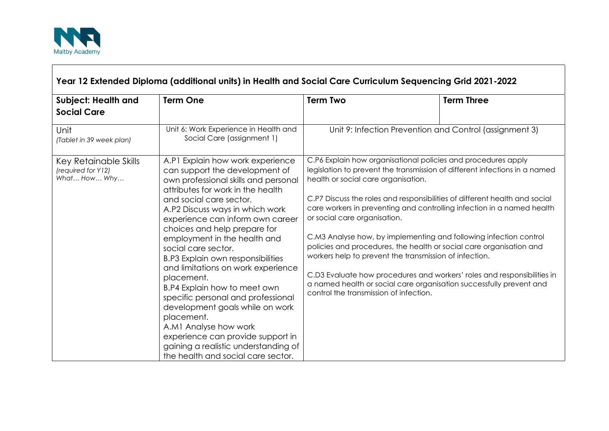

 $\Gamma$ 

| Subject: Health and<br><b>Social Care</b>                   | <b>Term One</b>                                                                                                                                                                                                                                                                                                                                                                                                                                                                                                                                                                                                                                                                                             | <b>Term Two</b>                                                                                                                                                                                                                                                                                                                                                                                                                                                                                                                                                                                                                                                                                                                                                              | <b>Term Three</b> |
|-------------------------------------------------------------|-------------------------------------------------------------------------------------------------------------------------------------------------------------------------------------------------------------------------------------------------------------------------------------------------------------------------------------------------------------------------------------------------------------------------------------------------------------------------------------------------------------------------------------------------------------------------------------------------------------------------------------------------------------------------------------------------------------|------------------------------------------------------------------------------------------------------------------------------------------------------------------------------------------------------------------------------------------------------------------------------------------------------------------------------------------------------------------------------------------------------------------------------------------------------------------------------------------------------------------------------------------------------------------------------------------------------------------------------------------------------------------------------------------------------------------------------------------------------------------------------|-------------------|
| Unit<br>(Tablet in 39 week plan)                            | Unit 6: Work Experience in Health and<br>Social Care (assignment 1)                                                                                                                                                                                                                                                                                                                                                                                                                                                                                                                                                                                                                                         | Unit 9: Infection Prevention and Control (assignment 3)                                                                                                                                                                                                                                                                                                                                                                                                                                                                                                                                                                                                                                                                                                                      |                   |
| Key Retainable Skills<br>(required for Y12)<br>What How Why | A.P1 Explain how work experience<br>can support the development of<br>own professional skills and personal<br>attributes for work in the health<br>and social care sector.<br>A.P2 Discuss ways in which work<br>experience can inform own career<br>choices and help prepare for<br>employment in the health and<br>social care sector.<br><b>B.P3 Explain own responsibilities</b><br>and limitations on work experience<br>placement.<br>B.P4 Explain how to meet own<br>specific personal and professional<br>development goals while on work<br>placement.<br>A.M1 Analyse how work<br>experience can provide support in<br>gaining a realistic understanding of<br>the health and social care sector. | C.P6 Explain how organisational policies and procedures apply<br>legislation to prevent the transmission of different infections in a named<br>health or social care organisation.<br>C.P7 Discuss the roles and responsibilities of different health and social<br>care workers in preventing and controlling infection in a named health<br>or social care organisation.<br>C.M3 Analyse how, by implementing and following infection control<br>policies and procedures, the health or social care organisation and<br>workers help to prevent the transmission of infection.<br>C.D3 Evaluate how procedures and workers' roles and responsibilities in<br>a named health or social care organisation successfully prevent and<br>control the transmission of infection. |                   |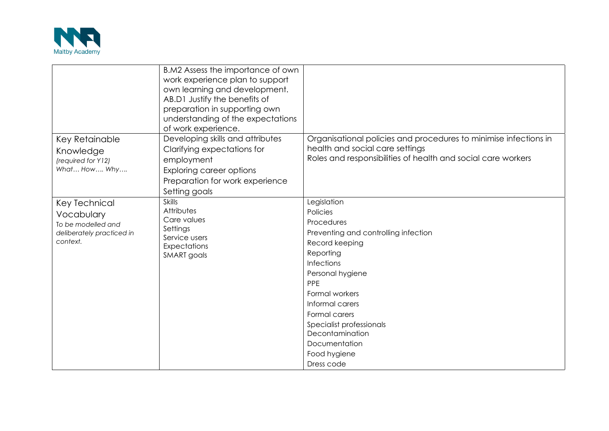

|                                                                                            | B.M2 Assess the importance of own<br>work experience plan to support<br>own learning and development.<br>AB.D1 Justify the benefits of<br>preparation in supporting own<br>understanding of the expectations<br>of work experience. |                                                                                                                                                                                                                                                                                                           |
|--------------------------------------------------------------------------------------------|-------------------------------------------------------------------------------------------------------------------------------------------------------------------------------------------------------------------------------------|-----------------------------------------------------------------------------------------------------------------------------------------------------------------------------------------------------------------------------------------------------------------------------------------------------------|
| Key Retainable<br>Knowledge<br>(required for Y12)<br>What How Why                          | Developing skills and attributes<br>Clarifying expectations for<br>employment<br><b>Exploring career options</b><br>Preparation for work experience<br>Setting goals                                                                | Organisational policies and procedures to minimise infections in<br>health and social care settings<br>Roles and responsibilities of health and social care workers                                                                                                                                       |
| Key Technical<br>Vocabulary<br>To be modelled and<br>deliberately practiced in<br>context. | <b>Skills</b><br>Attributes<br>Care values<br>Settings<br>Service users<br>Expectations<br>SMART goals                                                                                                                              | Legislation<br>Policies<br>Procedures<br>Preventing and controlling infection<br>Record keeping<br>Reporting<br>Infections<br>Personal hygiene<br>PPE<br>Formal workers<br>Informal carers<br>Formal carers<br>Specialist professionals<br>Decontamination<br>Documentation<br>Food hygiene<br>Dress code |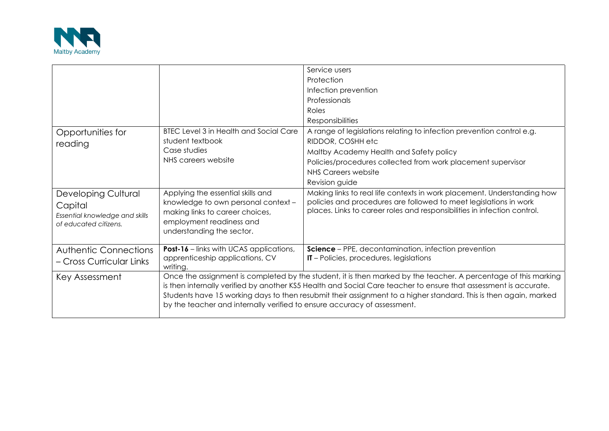

|                                                                                           |                                                                                                                                                                                                                                                                                                                                                                                                                                     | Service users                                                                                                                                                                                                            |
|-------------------------------------------------------------------------------------------|-------------------------------------------------------------------------------------------------------------------------------------------------------------------------------------------------------------------------------------------------------------------------------------------------------------------------------------------------------------------------------------------------------------------------------------|--------------------------------------------------------------------------------------------------------------------------------------------------------------------------------------------------------------------------|
|                                                                                           |                                                                                                                                                                                                                                                                                                                                                                                                                                     | Protection                                                                                                                                                                                                               |
|                                                                                           |                                                                                                                                                                                                                                                                                                                                                                                                                                     | Infection prevention                                                                                                                                                                                                     |
|                                                                                           |                                                                                                                                                                                                                                                                                                                                                                                                                                     | Professionals                                                                                                                                                                                                            |
|                                                                                           |                                                                                                                                                                                                                                                                                                                                                                                                                                     | Roles                                                                                                                                                                                                                    |
|                                                                                           |                                                                                                                                                                                                                                                                                                                                                                                                                                     | <b>Responsibilities</b>                                                                                                                                                                                                  |
| Opportunities for<br>reading                                                              | <b>BTEC Level 3 in Health and Social Care</b><br>student textbook                                                                                                                                                                                                                                                                                                                                                                   | A range of legislations relating to infection prevention control e.g.<br>RIDDOR, COSHH etc                                                                                                                               |
|                                                                                           | Case studies                                                                                                                                                                                                                                                                                                                                                                                                                        | Maltby Academy Health and Safety policy                                                                                                                                                                                  |
|                                                                                           | NHS careers website                                                                                                                                                                                                                                                                                                                                                                                                                 | Policies/procedures collected from work placement supervisor                                                                                                                                                             |
|                                                                                           |                                                                                                                                                                                                                                                                                                                                                                                                                                     | NHS Careers website                                                                                                                                                                                                      |
|                                                                                           |                                                                                                                                                                                                                                                                                                                                                                                                                                     | Revision guide                                                                                                                                                                                                           |
| Developing Cultural<br>Capital<br>Essential knowledge and skills<br>of educated citizens. | Applying the essential skills and<br>knowledge to own personal context -<br>making links to career choices,<br>employment readiness and<br>understanding the sector.                                                                                                                                                                                                                                                                | Making links to real life contexts in work placement. Understanding how<br>policies and procedures are followed to meet legislations in work<br>places. Links to career roles and responsibilities in infection control. |
| <b>Authentic Connections</b>                                                              | <b>Post-16</b> – links with UCAS applications,                                                                                                                                                                                                                                                                                                                                                                                      | <b>Science</b> – PPE, decontamination, infection prevention                                                                                                                                                              |
| – Cross Curricular Links                                                                  | apprenticeship applications, CV<br>writing.                                                                                                                                                                                                                                                                                                                                                                                         | IT - Policies, procedures, legislations                                                                                                                                                                                  |
| Key Assessment                                                                            | Once the assignment is completed by the student, it is then marked by the teacher. A percentage of this marking<br>is then internally verified by another KS5 Health and Social Care teacher to ensure that assessment is accurate.<br>Students have 15 working days to then resubmit their assignment to a higher standard. This is then again, marked<br>by the teacher and internally verified to ensure accuracy of assessment. |                                                                                                                                                                                                                          |